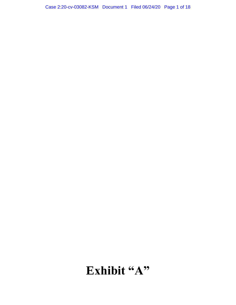# Case 2:20-cv-03082-KSM Document 1 Filed 06/24/20 Page 1 of 18

# Exhibit "A"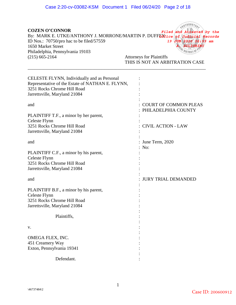| <b>COZEN O'CONNOR</b><br>By: MARK E. UTKE/ANTHONY J. MORRONE/MARTIN P. DUFFEXtice of Judicial Records<br>ID Nos.: 70750/pro hac to be filed/57559<br>1650 Market Street<br>Philadelphia, Pennsylvania 19103<br>$(215)$ 665-2164 | Filed and Attested by the<br><b>19 JUN 20</b><br>am<br><b>Attorneys for Plaintiffs</b><br>THIS IS NOT AN ARBITRATION CASE |
|---------------------------------------------------------------------------------------------------------------------------------------------------------------------------------------------------------------------------------|---------------------------------------------------------------------------------------------------------------------------|
| CELESTE FLYNN, Individually and as Personal<br>Representative of the Estate of NATHAN E. FLYNN,                                                                                                                                 |                                                                                                                           |
| 3251 Rocks Chrome Hill Road                                                                                                                                                                                                     |                                                                                                                           |
|                                                                                                                                                                                                                                 |                                                                                                                           |
| Jarrettsville, Maryland 21084                                                                                                                                                                                                   |                                                                                                                           |
| and                                                                                                                                                                                                                             | <b>COURT OF COMMON PLEAS</b><br>PHILADELPHIA COUNTY                                                                       |
| PLAINTIFF T.F., a minor by her parent,                                                                                                                                                                                          |                                                                                                                           |
| Celeste Flynn                                                                                                                                                                                                                   |                                                                                                                           |
| 3251 Rocks Chrome Hill Road                                                                                                                                                                                                     | <b>CIVIL ACTION - LAW</b>                                                                                                 |
| Jarrettsville, Maryland 21084                                                                                                                                                                                                   |                                                                                                                           |
|                                                                                                                                                                                                                                 |                                                                                                                           |
| and                                                                                                                                                                                                                             | June Term, 2020                                                                                                           |
|                                                                                                                                                                                                                                 | : No:                                                                                                                     |
| PLAINTIFF C.F., a minor by his parent,                                                                                                                                                                                          |                                                                                                                           |
| Celeste Flynn                                                                                                                                                                                                                   |                                                                                                                           |
| 3251 Rocks Chrome Hill Road                                                                                                                                                                                                     |                                                                                                                           |
| Jarrettsville, Maryland 21084                                                                                                                                                                                                   |                                                                                                                           |
|                                                                                                                                                                                                                                 |                                                                                                                           |
| and                                                                                                                                                                                                                             | <b>JURY TRIAL DEMANDED</b>                                                                                                |
| PLAINTIFF B.F., a minor by his parent,                                                                                                                                                                                          |                                                                                                                           |
| Celeste Flynn                                                                                                                                                                                                                   |                                                                                                                           |
| 3251 Rocks Chrome Hill Road                                                                                                                                                                                                     |                                                                                                                           |
| Jarrettsville, Maryland 21084                                                                                                                                                                                                   |                                                                                                                           |
|                                                                                                                                                                                                                                 |                                                                                                                           |
| Plaintiffs,                                                                                                                                                                                                                     |                                                                                                                           |
|                                                                                                                                                                                                                                 |                                                                                                                           |
| V.                                                                                                                                                                                                                              |                                                                                                                           |
|                                                                                                                                                                                                                                 |                                                                                                                           |
| OMEGA FLEX, INC.                                                                                                                                                                                                                |                                                                                                                           |
| 451 Creamery Way                                                                                                                                                                                                                |                                                                                                                           |
| Exton, Pennsylvania 19341                                                                                                                                                                                                       |                                                                                                                           |

Defendant.

: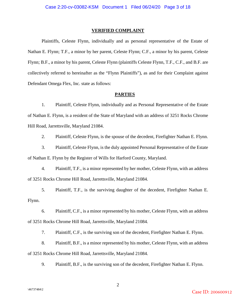#### **VERIFIED COMPLAINT**

Plaintiffs, Celeste Flynn, individually and as personal representative of the Estate of Nathan E. Flynn; T.F., a minor by her parent, Celeste Flynn; C.F., a minor by his parent, Celeste Flynn; B.F., a minor by his parent, Celeste Flynn (plaintiffs Celeste Flynn, T.F., C.F., and B.F. are collectively referred to hereinafter as the "Flynn Plaintiffs"), as and for their Complaint against Defendant Omega Flex, Inc. state as follows:

#### **PARTIES**

1. Plaintiff, Celeste Flynn, individually and as Personal Representative of the Estate of Nathan E. Flynn, is a resident of the State of Maryland with an address of 3251 Rocks Chrome Hill Road, Jarrettsville, Maryland 21084.

2. Plaintiff, Celeste Flynn, is the spouse of the decedent, Firefighter Nathan E. Flynn.

3. Plaintiff, Celeste Flynn, is the duly appointed Personal Representative of the Estate of Nathan E. Flynn by the Register of Wills for Harford County, Maryland.

4. Plaintiff, T.F., is a minor represented by her mother, Celeste Flynn, with an address of 3251 Rocks Chrome Hill Road, Jarrettsville, Maryland 21084.

5. Plaintiff, T.F., is the surviving daughter of the decedent, Firefighter Nathan E. Flynn.

6. Plaintiff, C.F., is a minor represented by his mother, Celeste Flynn, with an address of 3251 Rocks Chrome Hill Road, Jarrettsville, Maryland 21084.

7. Plaintiff, C.F., is the surviving son of the decedent, Firefighter Nathan E. Flynn.

8. Plaintiff, B.F., is a minor represented by his mother, Celeste Flynn, with an address of 3251 Rocks Chrome Hill Road, Jarrettsville, Maryland 21084.

9. Plaintiff, B.F., is the surviving son of the decedent, Firefighter Nathan E. Flynn.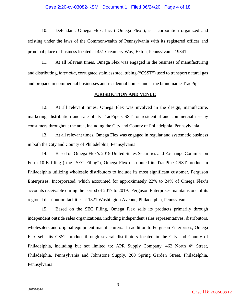#### Case 2:20-cv-03082-KSM Document 1 Filed 06/24/20 Page 4 of 18

10. Defendant, Omega Flex, Inc. ("Omega Flex"), is a corporation organized and existing under the laws of the Commonwealth of Pennsylvania with its registered offices and principal place of business located at 451 Creamery Way, Exton, Pennsylvania 19341.

11. At all relevant times, Omega Flex was engaged in the business of manufacturing and distributing, *inter alia*, corrugated stainless steel tubing ("CSST") used to transport natural gas and propane in commercial businesses and residential homes under the brand name TracPipe.

#### **JURISDICTION AND VENUE**

12. At all relevant times, Omega Flex was involved in the design, manufacture, marketing, distribution and sale of its TracPipe CSST for residential and commercial use by consumers throughout the area, including the City and County of Philadelphia, Pennsylvania.

13. At all relevant times, Omega Flex was engaged in regular and systematic business in both the City and County of Philadelphia, Pennsylvania.

14. Based on Omega Flex's 2019 United States Securities and Exchange Commission Form 10-K filing ( the "SEC Filing"), Omega Flex distributed its TracPipe CSST product in Philadelphia utilizing wholesale distributors to include its most significant customer, Ferguson Enterprises, Incorporated, which accounted for approximately 22% to 24% of Omega Flex's accounts receivable during the period of 2017 to 2019. Ferguson Enterprises maintains one of its regional distribution facilities at 1821 Washington Avenue, Philadelphia, Pennsylvania.

15. Based on the SEC Filing, Omega Flex sells its products primarily through independent outside sales organizations, including independent sales representatives, distributors, wholesalers and original equipment manufacturers. In addition to Ferguson Enterprises, Omega Flex sells its CSST product through several distributors located in the City and County of Philadelphia, including but not limited to: APR Supply Company, 462 North 4<sup>th</sup> Street, Philadelphia, Pennsylvania and Johnstone Supply, 200 Spring Garden Street, Philadelphia, Pennsylvania.

Case ID: 200600912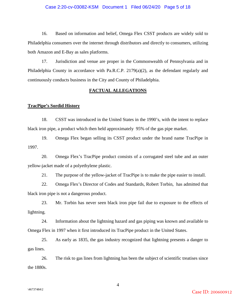#### Case 2:20-cv-03082-KSM Document 1 Filed 06/24/20 Page 5 of 18

16. Based on information and belief, Omega Flex CSST products are widely sold to Philadelphia consumers over the internet through distributors and directly to consumers, utilizing both Amazon and E-Bay as sales platforms.

17. Jurisdiction and venue are proper in the Commonwealth of Pennsylvania and in Philadelphia County in accordance with Pa.R.C.P. 2179(a)(2), as the defendant regularly and continuously conducts business in the City and County of Philadelphia.

#### **FACTUAL ALLEGATIONS**

#### **TracPipe's Sordid History**

18. CSST was introduced in the United States in the 1990's, with the intent to replace black iron pipe, a product which then held approximately 95% of the gas pipe market.

19. Omega Flex began selling its CSST product under the brand name TracPipe in 1997.

20. Omega Flex's TracPipe product consists of a corrugated steel tube and an outer yellow-jacket made of a polyethylene plastic.

21. The purpose of the yellow-jacket of TracPipe is to make the pipe easier to install.

22. Omega Flex's Director of Codes and Standards, Robert Torbin, has admitted that black iron pipe is not a dangerous product.

23. Mr. Torbin has never seen black iron pipe fail due to exposure to the effects of lightning.

24. Information about the lightning hazard and gas piping was known and available to Omega Flex in 1997 when it first introduced its TracPipe product in the United States.

25. As early as 1835, the gas industry recognized that lightning presents a danger to gas lines.

26. The risk to gas lines from lightning has been the subject of scientific treatises since the 1880s.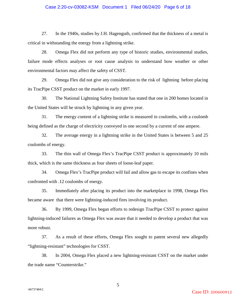#### Case 2:20-cv-03082-KSM Document 1 Filed 06/24/20 Page 6 of 18

27. In the 1940s, studies by J.H. Hagenguth, confirmed that the thickness of a metal is critical in withstanding the energy from a lightning strike.

28. Omega Flex did not perform any type of historic studies, environmental studies, failure mode effects analyses or root cause analysis to understand how weather or other environmental factors may affect the safety of CSST.

29. Omega Flex did not give any consideration to the risk of lightning before placing its TracPipe CSST product on the market in early 1997.

30. The National Lightning Safety Institute has stated that one in 200 homes located in the United States will be struck by lightning in any given year.

31. The energy content of a lightning strike is measured in coulombs, with a coulomb being defined as the charge of electricity conveyed in one second by a current of one ampere.

32. The average energy in a lightning strike in the United States is between 5 and 25 coulombs of energy.

33. The thin wall of Omega Flex's TracPipe CSST product is approximately 10 mils thick, which is the same thickness as four sheets of loose-leaf paper.

34. Omega Flex's TracPipe product will fail and allow gas to escape its confines when confronted with .12 coulombs of energy.

35. Immediately after placing its product into the marketplace in 1998, Omega Flex became aware that there were lightning-induced fires involving its product.

36. By 1999, Omega Flex began efforts to redesign TracPipe CSST to protect against lightning-induced failures as Omega Flex was aware that it needed to develop a product that was more robust.

37. As a result of these efforts, Omega Flex sought to patent several new allegedly "lightning-resistant" technologies for CSST.

38. In 2004, Omega Flex placed a new lightning-resistant CSST on the market under the trade name "Counterstrike."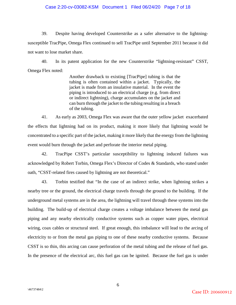#### Case 2:20-cv-03082-KSM Document 1 Filed 06/24/20 Page 7 of 18

39. Despite having developed Counterstrike as a safer alternative to the lightningsusceptible TracPipe, Omega Flex continued to sell TracPipe until September 2011 because it did not want to lose market share.

40. In its patent application for the new Counterstrike "lightning-resistant" CSST, Omega Flex noted:

> Another drawback to existing [TracPipe] tubing is that the tubing is often contained within a jacket. Typically, the jacket is made from an insulative material. In the event the piping is introduced to an electrical charge (e.g. from direct or indirect lightning), charge accumulates on the jacket and can burn through the jacket to the tubing resulting in a breach of the tubing.

41. As early as 2003, Omega Flex was aware that the outer yellow jacket exacerbated the effects that lightning had on its product, making it more likely that lightning would be concentrated to a specific part of the jacket, making it more likely that the energy from the lightning event would burn through the jacket and perforate the interior metal piping.

42. TracPipe CSST's particular susceptibility to lightning induced failures was acknowledged by Robert Torbin, Omega Flex's Director of Codes & Standards, who stated under oath, "CSST-related fires caused by lightning are not theoretical."

43. Torbin testified that "In the case of an indirect strike, when lightning strikes a nearby tree or the ground, the electrical charge travels through the ground to the building. If the underground metal systems are in the area, the lightning will travel through these systems into the building. The build-up of electrical charge creates a voltage imbalance between the metal gas piping and any nearby electrically conductive systems such as copper water pipes, electrical wiring, coax cables or structural steel. If great enough, this imbalance will lead to the arcing of electricity to or from the metal gas piping to one of these nearby conductive systems. Because CSST is so thin, this arcing can cause perforation of the metal tubing and the release of fuel gas. In the presence of the electrical arc, this fuel gas can be ignited. Because the fuel gas is under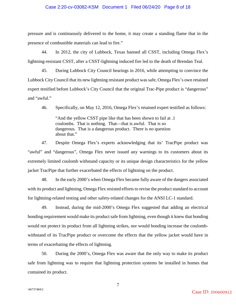#### Case 2:20-cv-03082-KSM Document 1 Filed 06/24/20 Page 8 of 18

pressure and is continuously delivered to the home, it may create a standing flame that in the presence of combustible materials can lead to fire."

44. In 2012, the city of Lubbock, Texas banned all CSST, including Omega Flex's lightning-resistant CSST, after a CSST-lightning induced fire led to the death of Brendan Teal.

45. During Lubbock City Council hearings in 2016, while attempting to convince the Lubbock City Council that its new lightning resistant product was safe, Omega Flex's own retained expert testified before Lubbock's City Council that the original Trac-Pipe product is "dangerous" and "awful."

46. Specifically, on May 12, 2016, Omega Flex's retained expert testified as follows:

"And the yellow CSST pipe like that has been shown to fail at .1 coulombs. That is nothing. That—that is awful. That is so dangerous. That is a dangerous product. There is no question about that."

47. Despite Omega Flex's experts acknowledging that its' TracPipe product was "awful" and "dangerous", Omega Flex never issued any warnings to its customers about its extremely limited coulomb withstand capacity or its unique design characteristics for the yellow jacket TracPipe that further exacerbated the effects of lightning on the product.

48. In the early 2000's when Omega Flex became fully aware of the dangers associated with its product and lightning, Omega Flex resisted efforts to revise the product standard to account for lightning-related testing and other safety-related changes for the ANSI LC-1 standard.

49. Instead, during the mid-2000's Omega Flex suggested that adding an electrical bonding requirement would make its product safe from lightning, even though it knew that bonding would not protect its product from all lightning strikes, nor would bonding increase the coulombwithstand of its TracPipe product or overcome the effects that the yellow jacket would have in terms of exacerbating the effects of lightning.

50. During the 2000's, Omega Flex was aware that the only way to make its product safe from lightning was to require that lightning protection systems be installed in homes that contained its product.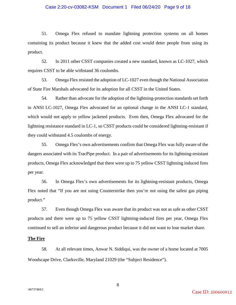#### Case 2:20-cv-03082-KSM Document 1 Filed 06/24/20 Page 9 of 18

51. Omega Flex refused to mandate lightning protection systems on all homes containing its product because it knew that the added cost would deter people from using its product.

52. In 2011 other CSST companies created a new standard, known as LC-1027, which requires CSST to be able withstand 36 coulombs.

53. Omega Flex resisted the adoption of LC-1027 even though the National Association of State Fire Marshals advocated for its adoption for all CSST in the United States.

54. Rather than advocate for the adoption of the lightning-protection standards set forth in ANSI LC-1027, Omega Flex advocated for an optional change in the ANSI LC-1 standard, which would not apply to yellow jacketed products. Even then, Omega Flex advocated for the lightning resistance standard in LC-1, so CSST products could be considered lightning-resistant if they could withstand 4.5 coulombs of energy.

55. Omega Flex's own advertisements confirm that Omega Flex was fully aware of the dangers associated with its TracPipe product. In a pair of advertisements for its lightning-resistant products, Omega Flex acknowledged that there were up to 75 yellow CSST lightning induced fires per year.

56. In Omega Flex's own advertisements for its lightning-resistant products, Omega Flex noted that "If you are not using Counterstrike then you're not using the safest gas piping product."

57. Even though Omega Flex was aware that its product was not as safe as other CSST products and there were up to 75 yellow CSST lightning-induced fires per year, Omega Flex continued to sell an inferior and dangerous product because it did not want to lose market share.

#### **The Fire**

58. At all relevant times, Anwar N. Siddiqui, was the owner of a home located at 7005 Woodscape Drive, Clarksville, Maryland 21029 (the "Subject Residence").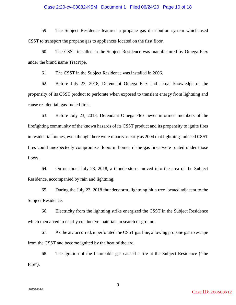#### Case 2:20-cv-03082-KSM Document 1 Filed 06/24/20 Page 10 of 18

59. The Subject Residence featured a propane gas distribution system which used CSST to transport the propane gas to appliances located on the first floor.

60. The CSST installed in the Subject Residence was manufactured by Omega Flex under the brand name TracPipe.

61. The CSST in the Subject Residence was installed in 2006.

62. Before July 23, 2018, Defendant Omega Flex had actual knowledge of the propensity of its CSST product to perforate when exposed to transient energy from lightning and cause residential, gas-fueled fires.

63. Before July 23, 2018, Defendant Omega Flex never informed members of the firefighting community of the known hazards of its CSST product and its propensity to ignite fires in residential homes, even though there were reports as early as 2004 that lightning-induced CSST fires could unexpectedly compromise floors in homes if the gas lines were routed under those floors.

64. On or about July 23, 2018, a thunderstorm moved into the area of the Subject Residence, accompanied by rain and lightning.

65. During the July 23, 2018 thunderstorm, lightning hit a tree located adjacent to the Subject Residence.

66. Electricity from the lightning strike energized the CSST in the Subject Residence which then arced to nearby conductive materials in search of ground.

67. As the arc occurred, it perforated the CSST gas line, allowing propane gas to escape from the CSST and become ignited by the heat of the arc.

68. The ignition of the flammable gas caused a fire at the Subject Residence ("the Fire").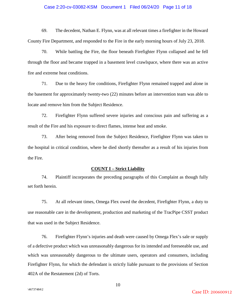#### Case 2:20-cv-03082-KSM Document 1 Filed 06/24/20 Page 11 of 18

69. The decedent, Nathan E. Flynn, was at all relevant times a firefighter in the Howard County Fire Department, and responded to the Fire in the early morning hours of July 23, 2018.

70. While battling the Fire, the floor beneath Firefighter Flynn collapsed and he fell through the floor and became trapped in a basement level crawlspace, where there was an active fire and extreme heat conditions.

71. Due to the heavy fire conditions, Firefighter Flynn remained trapped and alone in the basement for approximately twenty-two (22) minutes before an intervention team was able to locate and remove him from the Subject Residence.

72. Firefighter Flynn suffered severe injuries and conscious pain and suffering as a result of the Fire and his exposure to direct flames, intense heat and smoke.

73. After being removed from the Subject Residence, Firefighter Flynn was taken to the hospital in critical condition, where he died shortly thereafter as a result of his injuries from the Fire.

#### **COUNT I – Strict Liability**

74. Plaintiff incorporates the preceding paragraphs of this Complaint as though fully set forth herein.

75. At all relevant times, Omega Flex owed the decedent, Firefighter Flynn, a duty to use reasonable care in the development, production and marketing of the TracPipe CSST product that was used in the Subject Residence.

76. Firefighter Flynn's injuries and death were caused by Omega Flex's sale or supply of a defective product which was unreasonably dangerous for its intended and foreseeable use, and which was unreasonably dangerous to the ultimate users, operators and consumers, including Firefighter Flynn, for which the defendant is strictly liable pursuant to the provisions of Section 402A of the Restatement (2d) of Torts.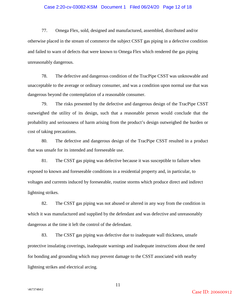#### Case 2:20-cv-03082-KSM Document 1 Filed 06/24/20 Page 12 of 18

77. Omega Flex, sold, designed and manufactured, assembled, distributed and/or otherwise placed in the stream of commerce the subject CSST gas piping in a defective condition and failed to warn of defects that were known to Omega Flex which rendered the gas piping unreasonably dangerous.

78. The defective and dangerous condition of the TracPipe CSST was unknowable and unacceptable to the average or ordinary consumer, and was a condition upon normal use that was dangerous beyond the contemplation of a reasonable consumer.

79. The risks presented by the defective and dangerous design of the TracPipe CSST outweighed the utility of its design, such that a reasonable person would conclude that the probability and seriousness of harm arising from the product's design outweighed the burden or cost of taking precautions.

80. The defective and dangerous design of the TracPipe CSST resulted in a product that was unsafe for its intended and foreseeable use.

81. The CSST gas piping was defective because it was susceptible to failure when exposed to known and foreseeable conditions in a residential property and, in particular, to voltages and currents induced by foreseeable, routine storms which produce direct and indirect lightning strikes.

82. The CSST gas piping was not abused or altered in any way from the condition in which it was manufactured and supplied by the defendant and was defective and unreasonably dangerous at the time it left the control of the defendant.

83. The CSST gas piping was defective due to inadequate wall thickness, unsafe protective insulating coverings, inadequate warnings and inadequate instructions about the need for bonding and grounding which may prevent damage to the CSST associated with nearby lightning strikes and electrical arcing.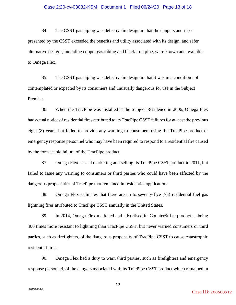#### Case 2:20-cv-03082-KSM Document 1 Filed 06/24/20 Page 13 of 18

84. The CSST gas piping was defective in design in that the dangers and risks presented by the CSST exceeded the benefits and utility associated with its design, and safer alternative designs, including copper gas tubing and black iron pipe, were known and available to Omega Flex.

85. The CSST gas piping was defective in design in that it was in a condition not contemplated or expected by its consumers and unusually dangerous for use in the Subject Premises.

86. When the TracPipe was installed at the Subject Residence in 2006, Omega Flex had actual notice of residential fires attributed to its TracPipe CSST failures for at least the previous eight (8) years, but failed to provide any warning to consumers using the TracPipe product or emergency response personnel who may have been required to respond to a residential fire caused by the foreseeable failure of the TracPipe product.

87. Omega Flex ceased marketing and selling its TracPipe CSST product in 2011, but failed to issue any warning to consumers or third parties who could have been affected by the dangerous propensities of TracPipe that remained in residential applications.

88. Omega Flex estimates that there are up to seventy-five (75) residential fuel gas lightning fires attributed to TracPipe CSST annually in the United States.

89. In 2014, Omega Flex marketed and advertised its CounterStrike product as being 400 times more resistant to lightning than TracPipe CSST, but never warned consumers or third parties, such as firefighters, of the dangerous propensity of TracPipe CSST to cause catastrophic residential fires.

90. Omega Flex had a duty to warn third parties, such as firefighters and emergency response personnel, of the dangers associated with its TracPipe CSST product which remained in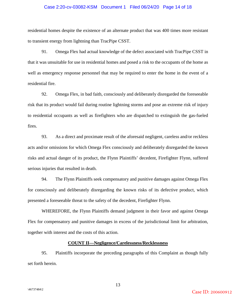#### Case 2:20-cv-03082-KSM Document 1 Filed 06/24/20 Page 14 of 18

residential homes despite the existence of an alternate product that was 400 times more resistant to transient energy from lightning than TracPipe CSST.

91. Omega Flex had actual knowledge of the defect associated with TracPipe CSST in that it was unsuitable for use in residential homes and posed a risk to the occupants of the home as well as emergency response personnel that may be required to enter the home in the event of a residential fire.

92. Omega Flex, in bad faith, consciously and deliberately disregarded the foreseeable risk that its product would fail during routine lightning storms and pose an extreme risk of injury to residential occupants as well as firefighters who are dispatched to extinguish the gas-fueled fires.

93. As a direct and proximate result of the aforesaid negligent, careless and/or reckless acts and/or omissions for which Omega Flex consciously and deliberately disregarded the known risks and actual danger of its product, the Flynn Plaintiffs' decedent, Firefighter Flynn, suffered serious injuries that resulted in death.

94. The Flynn Plaintiffs seek compensatory and punitive damages against Omega Flex for consciously and deliberately disregarding the known risks of its defective product, which presented a foreseeable threat to the safety of the decedent, Firefighter Flynn.

WHEREFORE, the Flynn Plaintiffs demand judgment in their favor and against Omega Flex for compensatory and punitive damages in excess of the jurisdictional limit for arbitration, together with interest and the costs of this action.

#### **COUNT II—Negligence/Carelessness/Recklessness**

95. Plaintiffs incorporate the preceding paragraphs of this Complaint as though fully set forth herein.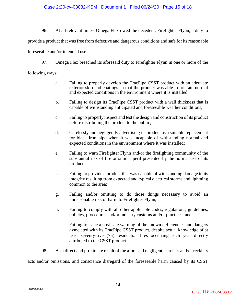#### Case 2:20-cv-03082-KSM Document 1 Filed 06/24/20 Page 15 of 18

96. At all relevant times, Omega Flex owed the decedent, Firefighter Flynn, a duty to

provide a product that was free from defective and dangerous conditions and safe for its reasonable

foreseeable and/or intended use.

97. Omega Flex breached its aforesaid duty to Firefighter Flynn in one or more of the

following ways:

- a. Failing to properly develop the TracPipe CSST product with an adequate exterior skin and coatings so that the product was able to tolerate normal and expected conditions in the environment where it is installed;
- b. Failing to design its TracPipe CSST product with a wall thickness that is capable of withstanding anticipated and foreseeable weather conditions;
- c. Failing to properly inspect and test the design and construction of its product before distributing the product to the public;
- d. Carelessly and negligently advertising its product as a suitable replacement for black iron pipe when it was incapable of withstanding normal and expected conditions in the environment where it was installed;
- e. Failing to warn Firefighter Flynn and/or the firefighting community of the substantial risk of fire or similar peril presented by the normal use of its product;
- f. Failing to provide a product that was capable of withstanding damage to its integrity resulting from expected and typical electrical storms and lightning common to the area;
- g. Failing and/or omitting to do those things necessary to avoid an unreasonable risk of harm to Firefighter Flynn;
- h. Failing to comply with all other applicable codes, regulations, guidelines, policies, procedures and/or industry customs and/or practices; and
- i. Failing to issue a post-sale warning of the known deficiencies and dangers associated with its TracPipe CSST product, despite actual knowledge of at least seventy-five (75) residential fires occurring each year directly attributed to the CSST product.
- 98. As a direct and proximate result of the aforesaid negligent, careless and/or reckless

acts and/or omissions, and conscience disregard of the foreseeable harm caused by its CSST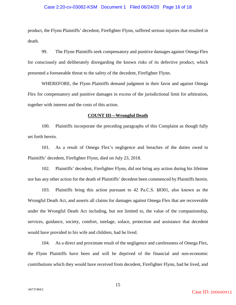#### Case 2:20-cv-03082-KSM Document 1 Filed 06/24/20 Page 16 of 18

product, the Flynn Plaintiffs' decedent, Firefighter Flynn, suffered serious injuries that resulted in death.

99. The Flynn Plaintiffs seek compensatory and punitive damages against Omega Flex for consciously and deliberately disregarding the known risks of its defective product, which presented a foreseeable threat to the safety of the decedent, Firefighter Flynn.

WHEREFORE, the Flynn Plaintiffs demand judgment in their favor and against Omega Flex for compensatory and punitive damages in excess of the jurisdictional limit for arbitration, together with interest and the costs of this action.

#### **COUNT III—Wrongful Death**

100. Plaintiffs incorporate the preceding paragraphs of this Complaint as though fully set forth herein.

101. As a result of Omega Flex's negligence and breaches of the duties owed to Plaintiffs' decedent, Firefighter Flynn, died on July 23, 2018.

102. Plaintiffs' decedent, Firefighter Flynn, did not bring any action during his lifetime nor has any other action for the death of Plaintiffs' decedent been commenced by Plaintiffs herein.

103. Plaintiffs bring this action pursuant to 42 Pa.C.S. §8301, also known as the Wrongful Death Act, and asserts all claims for damages against Omega Flex that are recoverable under the Wrongful Death Act including, but not limited to, the value of the companionship, services, guidance, society, comfort, tutelage, solace, protection and assistance that decedent would have provided to his wife and children, had he lived.

104. As a direct and proximate result of the negligence and carelessness of Omega Flex, the Flynn Plaintiffs have been and will be deprived of the financial and non-economic contributions which they would have received from decedent, Firefighter Flynn, had he lived, and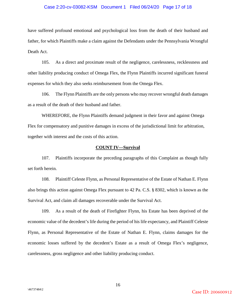#### Case 2:20-cv-03082-KSM Document 1 Filed 06/24/20 Page 17 of 18

have suffered profound emotional and psychological loss from the death of their husband and father, for which Plaintiffs make a claim against the Defendants under the Pennsylvania Wrongful Death Act.

105. As a direct and proximate result of the negligence, carelessness, recklessness and other liability producing conduct of Omega Flex, the Flynn Plaintiffs incurred significant funeral expenses for which they also seeks reimbursement from the Omega Flex.

106. The Flynn Plaintiffs are the only persons who may recover wrongful death damages as a result of the death of their husband and father.

WHEREFORE, the Flynn Plaintiffs demand judgment in their favor and against Omega Flex for compensatory and punitive damages in excess of the jurisdictional limit for arbitration, together with interest and the costs of this action.

#### **COUNT IV—Survival**

107. Plaintiffs incorporate the preceding paragraphs of this Complaint as though fully set forth herein.

108. Plaintiff Celeste Flynn, as Personal Representative of the Estate of Nathan E. Flynn also brings this action against Omega Flex pursuant to 42 Pa. C.S. § 8302, which is known as the Survival Act, and claim all damages recoverable under the Survival Act.

109. As a result of the death of Firefighter Flynn, his Estate has been deprived of the economic value of the decedent's life during the period of his life expectancy, and Plaintiff Celeste Flynn, as Personal Representative of the Estate of Nathan E. Flynn, claims damages for the economic losses suffered by the decedent's Estate as a result of Omega Flex's negligence, carelessness, gross negligence and other liability producing conduct.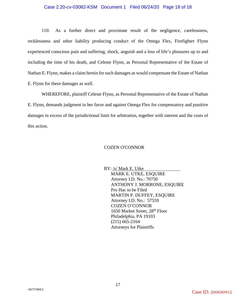#### Case 2:20-cv-03082-KSM Document 1 Filed 06/24/20 Page 18 of 18

110. As a further direct and proximate result of the negligence, carelessness, recklessness and other liability producing conduct of the Omega Flex, Firefighter Flynn experienced conscious pain and suffering, shock, anguish and a loss of life's pleasures up to and including the time of his death, and Celeste Flynn, as Personal Representative of the Estate of Nathan E. Flynn, makes a claim herein for such damages as would compensate the Estate of Nathan E. Flynn for these damages as well.

WHEREFORE, plaintiff Celeste Flynn, as Personal Representative of the Estate of Nathan E. Flynn, demands judgment in her favor and against Omega Flex for compensatory and punitive damages in excess of the jurisdictional limit for arbitration, together with interest and the costs of this action.

#### COZEN O'CONNOR

BY: /s/ Mark E. Utke MARK E. UTKE, ESQUIRE Attorney I.D. No.: 70750 ANTHONY J. MORRONE, ESQUIRE Pro Hac to be Filed MARTIN P. DUFFEY, ESQUIRE Attorney I.D. No.: 57559 COZEN O'CONNOR 1650 Market Street, 28th Floor Philadelphia, PA 19103 (215) 665-2164 Attorneys for Plaintiffs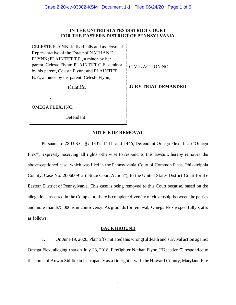#### **IN THE UNITED STATES DISTRICT COURT FOR THE EASTERN DISTRICT OF PENNSYLVANIA**

CELESTE FLYNN, Individually and as Personal Representative of the Estate of NATHAN E. FLYNN; PLAINTIFF T.F., a minor by her parent, Celeste Flynn; PLAINTIFF C.F., a minor by his parent, Celeste Flynn; and PLAINTIFF B.F., a minor by his parent, Celeste Flynn;

Plaintiffs,

CIVIL ACTION NO.

**JURY TRIAL DEMANDED**

v.

OMEGA FLEX, INC.

Defendant.

## **NOTICE OF REMOVAL**

Pursuant to 28 U.S.C. §§ 1332, 1441, and 1446, Defendant Omega Flex, Inc. ("Omega Flex"), expressly reserving all rights otherwise to respond to this lawsuit, hereby removes the above-captioned case, which was filed in the Pennsylvania Court of Common Pleas, Philadelphia County, Case No. 200600912 ("State Court Action"), to the United States District Court for the Eastern District of Pennsylvania. This case is being removed to this Court because, based on the allegations asserted in the Complaint, there is complete diversity of citizenship between the parties and more than \$75,000 is in controversy. As grounds for removal, Omega Flex respectfully states as follows:

#### **BACKGROUND**

1. On June 19, 2020, Plaintiffs initiated this wrongful death and survival action against Omega Flex, alleging that on July 23, 2018, Firefighter Nathan Flynn ("Decedent") responded to the home of Anwar Siddiqi in his capacity as a firefighter with the Howard County, Maryland Fire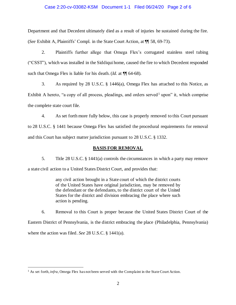#### Case 2:20-cv-03082-KSM Document 1-1 Filed 06/24/20 Page 2 of 6

Department and that Decedent ultimately died as a result of injuries he sustained during the fire. (*See* Exhibit A, Plaintiffs' Compl. in the State Court Action, at ¶¶ 58, 69-73).

2. Plaintiffs further allege that Omega Flex's corrugated stainless steel tubing ("CSST"), which was installed in the Siddiqui home, caused the fire to which Decedent responded such that Omega Flex is liable for his death. (*Id.* at ¶¶ 64-68).

3. As required by 28 U.S.C. § 1446(a), Omega Flex has attached to this Notice, as Exhibit A hereto, "a copy of all process, pleadings, and orders served<sup>1</sup> upon" it, which comprise the complete state court file.

4. As set forth more fully below, this case is properly removed to this Court pursuant to 28 U.S.C. § 1441 because Omega Flex has satisfied the procedural requirements for removal and this Court has subject matter jurisdiction pursuant to 28 U.S.C. § 1332.

#### **BASIS FOR REMOVAL**

5. Title 28 U.S.C. § 1441(a) controls the circumstances in which a party may remove a state civil action to a United States District Court, and provides that:

> any civil action brought in a State court of which the district courts of the United States have original jurisdiction, may be removed by the defendant or the defendants, to the district court of the United States for the district and division embracing the place where such action is pending.

6. Removal to this Court is proper because the United States District Court of the Eastern District of Pennsylvania, is the district embracing the place (Philadelphia, Pennsylvania) where the action was filed. *See* 28 U.S.C. § 1441(a).

<sup>&</sup>lt;sup>1</sup> As set forth, *infra*, Omega Flex has not been served with the Complaint in the State Court Action.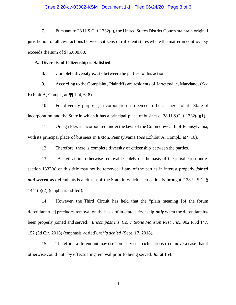#### Case 2:20-cv-03082-KSM Document 1-1 Filed 06/24/20 Page 3 of 6

7. Pursuant to 28 U.S.C. § 1332(a), the United States District Courts maintain original jurisdiction of all civil actions between citizens of different states where the matter in controversy exceeds the sum of \$75,000.00.

#### **A. Diversity of Citizenship is Satisfied.**

8. Complete diversity exists between the parties to this action.

9. According to the Complaint, Plaintiffs are residents of Jarrettsville, Maryland. (*See* Exhibit A, Compl., at  $\P\P$  1, 4, 6, 8).

10. For diversity purposes, a corporation is deemed to be a citizen of its State of incorporation and the State in which it has a principal place of business. 28 U.S.C.  $\S$  1332(c)(1).

11. Omega Flex is incorporated under the laws of the Commonwealth of Pennsylvania, with its principal place of business in Exton, Pennsylvania (*See* Exhibit A, Compl., at ¶ 10).

12. Therefore, there is complete diversity of citizenship between the parties.

13. "A civil action otherwise removable solely on the basis of the jurisdiction under section 1332(a) of this title may not be removed if any of the parties in interest properly *joined and served* as defendants is a citizen of the State in which such action is brought." 28 U.S.C. § 1441(b)(2) (emphasis added).

14. However, the Third Circuit has held that the "plain meaning [of the forum defendant rule] precludes removal on the basis of in-state citizenship *only* when the defendant has been properly joined and served." *Encompass Ins. Co. v. Stone Mansion Rest. Inc.*, 902 F.3d 147, 152 (3d Cir. 2018) (emphasis added), *reh'g denied* (Sept. 17, 2018).

15. Therefore, a defendant may use "pre-service machinations to remove a case that it otherwise could not" by effectuating removal prior to being served. *Id.* at 154.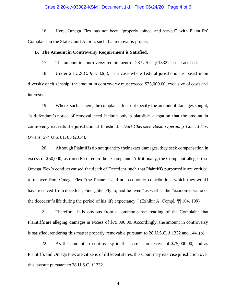#### Case 2:20-cv-03082-KSM Document 1-1 Filed 06/24/20 Page 4 of 6

16. Here, Omega Flex has not been "properly joined and served" with Plaintiffs' Complaint in the State Court Action, such that removal is proper.

#### **B. The Amount in Controversy Requirement is Satisfied.**

17. The amount in controversy requirement of 28 U.S.C. § 1332 also is satisfied.

18. Under 28 U.S.C. § 1332(a), in a case where federal jurisdiction is based upon diversity of citizenship, the amount in controversy must exceed \$75,000.00, exclusive of costs and interests.

19. Where, such as here, the complaint does not specify the amount of damages sought, "a defendant's notice of removal need include only a plausible allegation that the amount in controversy exceeds the jurisdictional threshold." *Dart Cherokee Basin Operating Co., LLC v. Owens*, 574 U.S. 81, 83 (2014).

20. Although Plaintiffs do not quantify their exact damages, they seek compensation in excess of \$50,000, as directly stated in their Complaint. Additionally, the Complaint alleges that Omega Flex's conduct caused the death of Decedent, such that Plaintiffs purportedly are entitled to recover from Omega Flex "the financial and non-economic contributions which they would have received from decedent, Firefighter Flynn, had he lived" as well as the "economic value of the decedent's life during the period of his life expectancy." (Exhibit A, Compl, ¶¶ 104, 109).

21. Therefore, it is obvious from a common-sense reading of the Complaint that Plaintiffs are alleging damages in excess of \$75,000.00. Accordingly, the amount in controversy is satisfied, rendering this matter properly removable pursuant to 28 U.S.C. § 1332 and 1441(b).

22. As the amount in controversy in this case is in excess of \$75,000.00, and as Plaintiffs and Omega Flex are citizens of different states, this Court may exercise jurisdiction over this lawsuit pursuant to 28 U.S.C. §1332.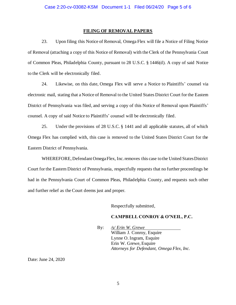#### **FILING OF REMOVAL PAPERS**

23. Upon filing this Notice of Removal, Omega Flex will file a Notice of Filing Notice of Removal (attaching a copy of this Notice of Removal) with the Clerk of the Pennsylvania Court of Common Pleas, Philadelphia County, pursuant to 28 U.S.C. § 1446(d). A copy of said Notice to the Clerk will be electronically filed.

24. Likewise, on this date, Omega Flex will serve a Notice to Plaintiffs' counsel via electronic mail, stating that a Notice of Removal to the United States District Court for the Eastern District of Pennsylvania was filed, and serving a copy of this Notice of Removal upon Plaintiffs' counsel. A copy of said Notice to Plaintiffs' counsel will be electronically filed.

25. Under the provisions of 28 U.S.C. § 1441 and all applicable statutes, all of which Omega Flex has complied with, this case is removed to the United States District Court for the Eastern District of Pennsylvania.

WHEREFORE, Defendant Omega Flex, Inc. removes this case to the United States District Court for the Eastern District of Pennsylvania, respectfully requests that no further proceedings be had in the Pennsylvania Court of Common Pleas, Philadelphia County, and requests such other and further relief as the Court deems just and proper.

Respectfully submitted,

#### **CAMPBELL CONROY & O'NEIL, P.C.**

By: */s/ Erin W. Grewe* William J. Conroy, Esquire Lynne O. Ingram, Esquire Erin W. Grewe, Esquire *Attorneys for Defendant, Omega Flex, Inc.*

Date: June 24, 2020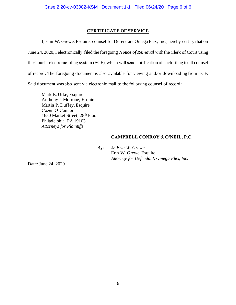#### **CERTIFICATE OF SERVICE**

I, Erin W. Grewe, Esquire, counsel for Defendant Omega Flex, Inc., hereby certify that on June 24, 2020, I electronically filed the foregoing *Notice of Removal* with the Clerk of Court using the Court's electronic filing system (ECF), which will send notification of such filing to all counsel of record. The foregoing document is also available for viewing and/or downloading from ECF. Said document was also sent via electronic mail to the following counsel of record:

Mark E. Utke, Esquire Anthony J. Morrone, Esquire Martin P. Duffey, Esquire Cozen O'Connor 1650 Market Street, 28th Floor Philadelphia, PA 19103 *Attorneys for Plaintiffs*

#### **CAMPBELL CONROY & O'NEIL, P.C.**

By: */s/ Erin W. Grewe* Erin W. Grewe, Esquire *Attorney for Defendant, Omega Flex, Inc.*

Date: June 24, 2020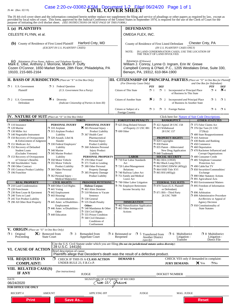#### JS 44 (Rev. 02/19)

# Case 2:20-cv-03082-KSM Document 1-2 Filed 06/24/20 Page 1 of 1

The JS 44 civil cover sheet and the information contained herein neither replace nor supplement the filing and service of pleadings or other papers as required by law, except as provided by local rules of court. This form,

| I. (a) PLAINTIFFS                                                                                                                                                                                                                                                                                                                                                                                                                                                                                                                                                                                                                                            |                                                                                                                                                                                                                                                                                                                                                                                                                                                                                                                                                                                                                                                            |                                                                                                                                                                                                                                                                                                                                                                                                                                                                                                                                                                                                                                                                                                                           | <b>DEFENDANTS</b>                                                                                                                                                                                                                                                                                                                                                                                                           |                                                                                                                                                                                                                                                                                                                                                                                                                                                                                                             |                                                                                                                                                                                                                                                                                                                                                                                                                                                                                                                                                                                                                                                                                                                                          |
|--------------------------------------------------------------------------------------------------------------------------------------------------------------------------------------------------------------------------------------------------------------------------------------------------------------------------------------------------------------------------------------------------------------------------------------------------------------------------------------------------------------------------------------------------------------------------------------------------------------------------------------------------------------|------------------------------------------------------------------------------------------------------------------------------------------------------------------------------------------------------------------------------------------------------------------------------------------------------------------------------------------------------------------------------------------------------------------------------------------------------------------------------------------------------------------------------------------------------------------------------------------------------------------------------------------------------------|---------------------------------------------------------------------------------------------------------------------------------------------------------------------------------------------------------------------------------------------------------------------------------------------------------------------------------------------------------------------------------------------------------------------------------------------------------------------------------------------------------------------------------------------------------------------------------------------------------------------------------------------------------------------------------------------------------------------------|-----------------------------------------------------------------------------------------------------------------------------------------------------------------------------------------------------------------------------------------------------------------------------------------------------------------------------------------------------------------------------------------------------------------------------|-------------------------------------------------------------------------------------------------------------------------------------------------------------------------------------------------------------------------------------------------------------------------------------------------------------------------------------------------------------------------------------------------------------------------------------------------------------------------------------------------------------|------------------------------------------------------------------------------------------------------------------------------------------------------------------------------------------------------------------------------------------------------------------------------------------------------------------------------------------------------------------------------------------------------------------------------------------------------------------------------------------------------------------------------------------------------------------------------------------------------------------------------------------------------------------------------------------------------------------------------------------|
| CELESTE FLYNN, et al.                                                                                                                                                                                                                                                                                                                                                                                                                                                                                                                                                                                                                                        |                                                                                                                                                                                                                                                                                                                                                                                                                                                                                                                                                                                                                                                            |                                                                                                                                                                                                                                                                                                                                                                                                                                                                                                                                                                                                                                                                                                                           | OMEGA FLEX, INC.                                                                                                                                                                                                                                                                                                                                                                                                            |                                                                                                                                                                                                                                                                                                                                                                                                                                                                                                             |                                                                                                                                                                                                                                                                                                                                                                                                                                                                                                                                                                                                                                                                                                                                          |
| (b) County of Residence of First Listed Plaintiff                                                                                                                                                                                                                                                                                                                                                                                                                                                                                                                                                                                                            | (EXCEPT IN U.S. PLAINTIFF CASES)                                                                                                                                                                                                                                                                                                                                                                                                                                                                                                                                                                                                                           | Harford Cnty, MD                                                                                                                                                                                                                                                                                                                                                                                                                                                                                                                                                                                                                                                                                                          | NOTE:                                                                                                                                                                                                                                                                                                                                                                                                                       | County of Residence of First Listed Defendant<br>(IN U.S. PLAINTIFF CASES ONLY)<br>IN LAND CONDEMNATION CASES, USE THE LOCATION OF<br>THE TRACT OF LAND INVOLVED.                                                                                                                                                                                                                                                                                                                                           | Chester Cnty, PA                                                                                                                                                                                                                                                                                                                                                                                                                                                                                                                                                                                                                                                                                                                         |
| (c) Attorneys (Firm Name, Address, and Telephone Number)<br>Mark E. Utke, Anthony J. Morrone, Martin P. Duffy<br>Cozen O'Connor, 1650 Market Street, 28th Floor, Philadelphia, PA<br>19103, 215-665-2164                                                                                                                                                                                                                                                                                                                                                                                                                                                     |                                                                                                                                                                                                                                                                                                                                                                                                                                                                                                                                                                                                                                                            |                                                                                                                                                                                                                                                                                                                                                                                                                                                                                                                                                                                                                                                                                                                           | Attorneys (If Known)<br>Berwyn, PA, 19312, 610-964-1900                                                                                                                                                                                                                                                                                                                                                                     | William J. Conroy, Lynne O. Ingram, Erin W. Grewe                                                                                                                                                                                                                                                                                                                                                                                                                                                           | Campbell Conroy & O'Neil, P.C., 1205 Westlakes Drive, Suite 330,                                                                                                                                                                                                                                                                                                                                                                                                                                                                                                                                                                                                                                                                         |
| <b>II. BASIS OF JURISDICTION</b> (Place an "X" in One Box Only)                                                                                                                                                                                                                                                                                                                                                                                                                                                                                                                                                                                              |                                                                                                                                                                                                                                                                                                                                                                                                                                                                                                                                                                                                                                                            |                                                                                                                                                                                                                                                                                                                                                                                                                                                                                                                                                                                                                                                                                                                           |                                                                                                                                                                                                                                                                                                                                                                                                                             |                                                                                                                                                                                                                                                                                                                                                                                                                                                                                                             | <b>III. CITIZENSHIP OF PRINCIPAL PARTIES</b> (Place an "X" in One Box for Plaintiff                                                                                                                                                                                                                                                                                                                                                                                                                                                                                                                                                                                                                                                      |
| $\Box$ 1 U.S. Government<br>Plaintiff                                                                                                                                                                                                                                                                                                                                                                                                                                                                                                                                                                                                                        | <b>3</b> Federal Question<br>(U.S. Government Not a Party)                                                                                                                                                                                                                                                                                                                                                                                                                                                                                                                                                                                                 |                                                                                                                                                                                                                                                                                                                                                                                                                                                                                                                                                                                                                                                                                                                           | (For Diversity Cases Only)<br>PTF<br>Citizen of This State<br>$\Box$ 1                                                                                                                                                                                                                                                                                                                                                      | <b>DEF</b><br>$\Box$ 1<br>Incorporated or Principal Place<br>of Business In This State                                                                                                                                                                                                                                                                                                                                                                                                                      | and One Box for Defendant)<br><b>PTF</b><br>DEF<br>$\mathbf{\times}$ 4<br>$\Box$ 4                                                                                                                                                                                                                                                                                                                                                                                                                                                                                                                                                                                                                                                       |
| $\Box$ 2 U.S. Government<br>Defendant                                                                                                                                                                                                                                                                                                                                                                                                                                                                                                                                                                                                                        | $\cancel{\bullet}$ 4 Diversity                                                                                                                                                                                                                                                                                                                                                                                                                                                                                                                                                                                                                             | (Indicate Citizenship of Parties in Item III)                                                                                                                                                                                                                                                                                                                                                                                                                                                                                                                                                                                                                                                                             | $\mathbf{X}_2$<br>Citizen of Another State                                                                                                                                                                                                                                                                                                                                                                                  | $\Box$ 2 Incorporated <i>and</i> Principal Place<br>of Business In Another State                                                                                                                                                                                                                                                                                                                                                                                                                            | $\Box$ 5<br>$\square$ 5                                                                                                                                                                                                                                                                                                                                                                                                                                                                                                                                                                                                                                                                                                                  |
|                                                                                                                                                                                                                                                                                                                                                                                                                                                                                                                                                                                                                                                              |                                                                                                                                                                                                                                                                                                                                                                                                                                                                                                                                                                                                                                                            |                                                                                                                                                                                                                                                                                                                                                                                                                                                                                                                                                                                                                                                                                                                           | Citizen or Subject of a<br>$\Box$ 3<br>Foreign Country                                                                                                                                                                                                                                                                                                                                                                      | $\Box$ 3<br><b>Foreign Nation</b>                                                                                                                                                                                                                                                                                                                                                                                                                                                                           | $\Box$ 6<br>$\square$ 6                                                                                                                                                                                                                                                                                                                                                                                                                                                                                                                                                                                                                                                                                                                  |
| <b>IV. NATURE OF SUIT</b> (Place an "X" in One Box Only)<br><b>CONTRACT</b>                                                                                                                                                                                                                                                                                                                                                                                                                                                                                                                                                                                  |                                                                                                                                                                                                                                                                                                                                                                                                                                                                                                                                                                                                                                                            | <b>TORTS</b>                                                                                                                                                                                                                                                                                                                                                                                                                                                                                                                                                                                                                                                                                                              | <b>FORFEITURE/PENALTY</b>                                                                                                                                                                                                                                                                                                                                                                                                   | <b>BANKRUPTCY</b>                                                                                                                                                                                                                                                                                                                                                                                                                                                                                           | Click here for: Nature of Suit Code Descriptions.<br><b>OTHER STATUTES</b>                                                                                                                                                                                                                                                                                                                                                                                                                                                                                                                                                                                                                                                               |
| $\Box$ 110 Insurance<br>$\Box$ 120 Marine<br>$\Box$ 130 Miller Act<br>$\Box$ 140 Negotiable Instrument<br>$\Box$ 150 Recovery of Overpayment<br>& Enforcement of Judgment<br>151 Medicare Act<br>$\Box$ 152 Recovery of Defaulted<br><b>Student Loans</b><br>(Excludes Veterans)<br>$\Box$ 153 Recovery of Overpayment<br>of Veteran's Benefits<br>160 Stockholders' Suits<br>190 Other Contract<br>195 Contract Product Liability<br>$\Box$ 196 Franchise<br><b>REAL PROPERTY</b><br>210 Land Condemnation<br>220 Foreclosure<br>230 Rent Lease & Ejectment<br>$\Box$ 240 Torts to Land<br>$\Box$ 245 Tort Product Liability<br>290 All Other Real Property | PERSONAL INJURY<br>$\Box$ 310 Airplane<br>□ 315 Airplane Product<br>Liability<br>$\Box$ 320 Assault, Libel &<br>Slander<br>□ 330 Federal Employers'<br>Liability<br>□ 340 Marine<br>345 Marine Product<br>Liability<br>□ 350 Motor Vehicle<br>□ 355 Motor Vehicle<br><b>Product Liability</b><br>360 Other Personal<br>Injury<br>$\Box$ 362 Personal Injury -<br><b>Medical Malpractice</b><br><b>CIVIL RIGHTS</b><br>$\Box$ 440 Other Civil Rights<br>$\Box$ 441 Voting<br>$\Box$ 442 Employment<br>$\Box$ 443 Housing/<br>Accommodations<br>$\Box$ 445 Amer. w/Disabilities<br>Employment<br>$\Box$ 446 Amer. w/Disabilities -<br>Other<br>448 Education | PERSONAL INJURY<br>$\bullet$ 365 Personal Injury -<br>Product Liability<br>367 Health Care/<br>Pharmaceutical<br>Personal Injury<br><b>Product Liability</b><br>368 Asbestos Personal<br><b>Injury Product</b><br>Liability<br>PERSONAL PROPERTY<br>7 370 Other Fraud<br>$\Box$ 371 Truth in Lending<br>380 Other Personal<br>Property Damage<br>385 Property Damage<br><b>Product Liability</b><br><b>PRISONER PETITIONS</b><br><b>Habeas Corpus:</b><br>$\Box$ 463 Alien Detainee<br>$\Box$ 510 Motions to Vacate<br>Sentence<br>530 General<br>□ 535 Death Penalty<br>Other:<br>$\Box$ 540 Mandamus & Other<br>$\Box$ 550 Civil Rights<br>555 Prison Condition<br>560 Civil Detainee -<br>Conditions of<br>Confinement | 5 625 Drug Related Seizure<br>of Property 21 USC 881<br>$\Box$ 690 Other<br><b>LABOR</b><br>710 Fair Labor Standards<br>Act<br>720 Labor/Management<br>Relations<br>740 Railway Labor Act<br>751 Family and Medical<br>Leave Act<br>$\Box$ 790 Other Labor Litigation<br>791 Employee Retirement<br>Income Security Act<br><b>IMMIGRATION</b><br>1462 Naturalization Application<br>$\Box$ 465 Other Immigration<br>Actions | $\Box$ 422 Appeal 28 USC 158<br>□ 423 Withdrawal<br>28 USC 157<br><b>PROPERTY RIGHTS</b><br>$\Box$ 820 Copyrights<br>$\Box$ 830 Patent<br>□ 835 Patent - Abbreviated<br>New Drug Application<br>□ 840 Trademark<br><b>SOCIAL SECURITY</b><br>$\Box$ 861 HIA (1395ff)<br>$\Box$ 862 Black Lung (923)<br>$\Box$ 863 DIWC/DIWW (405(g))<br>□ 864 SSID Title XVI<br>$\Box$ 865 RSI (405(g))<br><b>FEDERAL TAX SUITS</b><br>□ 870 Taxes (U.S. Plaintiff<br>or Defendant)<br>□ 871 IRS-Third Party<br>26 USC 7609 | 7 375 False Claims Act<br>$\Box$ 376 Qui Tam (31 USC<br>3729(a)<br>$\Box$ 400 State Reapportionment<br>$\Box$ 410 Antitrust<br>$\Box$ 430 Banks and Banking<br>$\Box$ 450 Commerce<br>$\Box$ 460 Deportation<br>□ 470 Racketeer Influenced and<br><b>Corrupt Organizations</b><br>480 Consumer Credit<br>485 Telephone Consumer<br>Protection Act<br>□ 490 Cable/Sat TV<br>□ 850 Securities/Commodities/<br>Exchange<br>□ 890 Other Statutory Actions<br>□ 891 Agricultural Acts<br>□ 893 Environmental Matters<br>$\Box$ 895 Freedom of Information<br>Act<br>$\Box$ 896 Arbitration<br>7 899 Administrative Procedure<br>Act/Review or Appeal of<br><b>Agency Decision</b><br>$\Box$ 950 Constitutionality of<br><b>State Statutes</b> |
| V. ORIGIN (Place an "X" in One Box Only)<br>$\Box$ 1 Original<br>Proceeding                                                                                                                                                                                                                                                                                                                                                                                                                                                                                                                                                                                  | $\mathbb{X}$ 2 Removed from<br>$\Box$ 3<br><b>State Court</b>                                                                                                                                                                                                                                                                                                                                                                                                                                                                                                                                                                                              | Remanded from<br><b>Appellate Court</b>                                                                                                                                                                                                                                                                                                                                                                                                                                                                                                                                                                                                                                                                                   | $\Box$ 4 Reinstated or<br>$\Box$ 5<br>Reopened<br>(specify)                                                                                                                                                                                                                                                                                                                                                                 | Multidistrict<br>□ 6<br>Transferred from<br>Litigation -<br><b>Another District</b><br>Transfer                                                                                                                                                                                                                                                                                                                                                                                                             | $\Box$ 8 Multidistrict<br>Litigation -<br>Direct File                                                                                                                                                                                                                                                                                                                                                                                                                                                                                                                                                                                                                                                                                    |
|                                                                                                                                                                                                                                                                                                                                                                                                                                                                                                                                                                                                                                                              | 28 U.S.C. 1441(b)                                                                                                                                                                                                                                                                                                                                                                                                                                                                                                                                                                                                                                          |                                                                                                                                                                                                                                                                                                                                                                                                                                                                                                                                                                                                                                                                                                                           | Cite the U.S. Civil Statute under which you are filing (Do not cite jurisdictional statutes unless diversity):                                                                                                                                                                                                                                                                                                              |                                                                                                                                                                                                                                                                                                                                                                                                                                                                                                             |                                                                                                                                                                                                                                                                                                                                                                                                                                                                                                                                                                                                                                                                                                                                          |
| VI. CAUSE OF ACTION                                                                                                                                                                                                                                                                                                                                                                                                                                                                                                                                                                                                                                          | Brief description of cause:                                                                                                                                                                                                                                                                                                                                                                                                                                                                                                                                                                                                                                |                                                                                                                                                                                                                                                                                                                                                                                                                                                                                                                                                                                                                                                                                                                           | Plaintiffs allege that Decedent's death was the result of a defective product.                                                                                                                                                                                                                                                                                                                                              |                                                                                                                                                                                                                                                                                                                                                                                                                                                                                                             |                                                                                                                                                                                                                                                                                                                                                                                                                                                                                                                                                                                                                                                                                                                                          |
| <b>VII. REQUESTED IN</b><br><b>COMPLAINT:</b>                                                                                                                                                                                                                                                                                                                                                                                                                                                                                                                                                                                                                | ο.<br>UNDER RULE 23, F.R.Cv.P.                                                                                                                                                                                                                                                                                                                                                                                                                                                                                                                                                                                                                             | CHECK IF THIS IS A CLASS ACTION                                                                                                                                                                                                                                                                                                                                                                                                                                                                                                                                                                                                                                                                                           | <b>DEMAND</b> \$                                                                                                                                                                                                                                                                                                                                                                                                            | <b>JURY DEMAND:</b>                                                                                                                                                                                                                                                                                                                                                                                                                                                                                         | CHECK YES only if demanded in complaint:<br><b>X</b> Yes<br>$\square$ No                                                                                                                                                                                                                                                                                                                                                                                                                                                                                                                                                                                                                                                                 |
| VIII. RELATED CASE(S)<br>IF ANY                                                                                                                                                                                                                                                                                                                                                                                                                                                                                                                                                                                                                              | (See instructions):                                                                                                                                                                                                                                                                                                                                                                                                                                                                                                                                                                                                                                        | <b>JUDGE</b>                                                                                                                                                                                                                                                                                                                                                                                                                                                                                                                                                                                                                                                                                                              |                                                                                                                                                                                                                                                                                                                                                                                                                             | DOCKET NUMBER                                                                                                                                                                                                                                                                                                                                                                                                                                                                                               |                                                                                                                                                                                                                                                                                                                                                                                                                                                                                                                                                                                                                                                                                                                                          |
| <b>DATE</b><br>06/24/2020<br><b>FOR OFFICE USE ONLY</b>                                                                                                                                                                                                                                                                                                                                                                                                                                                                                                                                                                                                      |                                                                                                                                                                                                                                                                                                                                                                                                                                                                                                                                                                                                                                                            | SIGNATURE OF ATTORNEY OF RECORD<br>(rin W. Grewe                                                                                                                                                                                                                                                                                                                                                                                                                                                                                                                                                                                                                                                                          |                                                                                                                                                                                                                                                                                                                                                                                                                             |                                                                                                                                                                                                                                                                                                                                                                                                                                                                                                             |                                                                                                                                                                                                                                                                                                                                                                                                                                                                                                                                                                                                                                                                                                                                          |
| <b>RECEIPT#</b>                                                                                                                                                                                                                                                                                                                                                                                                                                                                                                                                                                                                                                              | <b>AMOUNT</b>                                                                                                                                                                                                                                                                                                                                                                                                                                                                                                                                                                                                                                              | <b>APPLYING IFP</b>                                                                                                                                                                                                                                                                                                                                                                                                                                                                                                                                                                                                                                                                                                       | <b>JUDGE</b>                                                                                                                                                                                                                                                                                                                                                                                                                | MAG. JUDGE                                                                                                                                                                                                                                                                                                                                                                                                                                                                                                  |                                                                                                                                                                                                                                                                                                                                                                                                                                                                                                                                                                                                                                                                                                                                          |
| <b>Print</b>                                                                                                                                                                                                                                                                                                                                                                                                                                                                                                                                                                                                                                                 | <b>Save As</b>                                                                                                                                                                                                                                                                                                                                                                                                                                                                                                                                                                                                                                             |                                                                                                                                                                                                                                                                                                                                                                                                                                                                                                                                                                                                                                                                                                                           |                                                                                                                                                                                                                                                                                                                                                                                                                             |                                                                                                                                                                                                                                                                                                                                                                                                                                                                                                             | <b>Reset</b>                                                                                                                                                                                                                                                                                                                                                                                                                                                                                                                                                                                                                                                                                                                             |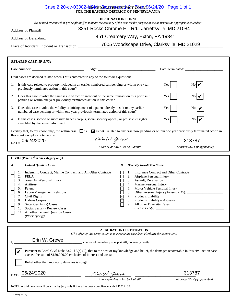#### Case 2:20-cv-03082-KSM **ED SOATES EDSTATE FOR 106/24/20** Page 1 of 1 **FOR THE EASTERN DISTRICT OF PENNSYLVANIA**

#### **DESIGNATION FORM**

*(to be used by counsel or pro se plaintiff to indicate the category of the case for the purpose of assignment to the appropriate calendar)*

# Address of Plaintiff: \_\_\_\_\_\_\_\_\_\_\_\_\_\_\_\_\_\_\_\_\_\_\_\_\_\_\_\_\_\_\_\_\_\_\_\_\_\_\_\_\_\_\_\_\_\_\_\_\_\_\_\_\_\_\_\_\_\_\_\_\_\_\_\_\_\_\_\_\_\_\_\_\_\_\_\_\_\_\_\_\_\_\_\_\_\_\_\_\_\_\_\_\_\_ 3251 Rocks Chrome Hill Rd., Jarrettsville, MD 21084

Address of Defendant: \_\_\_\_\_\_\_\_\_\_\_\_\_\_\_\_\_\_\_\_\_\_\_\_\_\_\_\_\_\_\_\_\_\_\_\_\_\_\_\_\_\_\_\_\_\_\_\_\_\_\_\_\_\_\_\_\_\_\_\_\_\_\_\_\_\_\_\_\_\_\_\_\_\_\_\_\_\_\_\_\_\_\_\_\_\_\_\_\_\_\_\_

451 Creamery Way, Exton, PA 19341

Place of Accident, Incident or Transaction: \_\_\_\_\_\_\_\_\_\_\_\_\_\_\_\_\_\_\_\_\_\_\_\_\_\_\_\_\_\_\_\_\_\_\_\_\_\_\_\_\_\_\_\_\_\_\_\_\_\_\_\_\_\_\_\_\_\_\_\_\_\_\_\_\_\_\_\_\_\_\_\_\_\_\_ 7005 Woodscape Drive, Clarksville, MD 21029

| <b>RELATED CASE, IF ANY:</b>                                                                                                                                                                                                                                                                                                                                                                                                                                                                                                                                                                                                                                                                                                                                                                                             |                                                                                                                                                                                                        |                                 |  |
|--------------------------------------------------------------------------------------------------------------------------------------------------------------------------------------------------------------------------------------------------------------------------------------------------------------------------------------------------------------------------------------------------------------------------------------------------------------------------------------------------------------------------------------------------------------------------------------------------------------------------------------------------------------------------------------------------------------------------------------------------------------------------------------------------------------------------|--------------------------------------------------------------------------------------------------------------------------------------------------------------------------------------------------------|---------------------------------|--|
|                                                                                                                                                                                                                                                                                                                                                                                                                                                                                                                                                                                                                                                                                                                                                                                                                          |                                                                                                                                                                                                        |                                 |  |
| Civil cases are deemed related when Yes is answered to any of the following questions:                                                                                                                                                                                                                                                                                                                                                                                                                                                                                                                                                                                                                                                                                                                                   |                                                                                                                                                                                                        |                                 |  |
| Is this case related to property included in an earlier numbered suit pending or within one year<br>1.<br>previously terminated action in this court?                                                                                                                                                                                                                                                                                                                                                                                                                                                                                                                                                                                                                                                                    |                                                                                                                                                                                                        | Yes                             |  |
| Does this case involve the same issue of fact or grow out of the same transaction as a prior suit<br>2.<br>Yes<br>pending or within one year previously terminated action in this court?                                                                                                                                                                                                                                                                                                                                                                                                                                                                                                                                                                                                                                 |                                                                                                                                                                                                        |                                 |  |
| 3.                                                                                                                                                                                                                                                                                                                                                                                                                                                                                                                                                                                                                                                                                                                                                                                                                       | Does this case involve the validity or infringement of a patent already in suit or any earlier<br>Yes  <br>No.<br>numbered case pending or within one year previously terminated action of this court? |                                 |  |
| 4.<br>case filed by the same individual?                                                                                                                                                                                                                                                                                                                                                                                                                                                                                                                                                                                                                                                                                                                                                                                 | Is this case a second or successive habeas corpus, social security appeal, or pro se civil rights<br>Yes<br>No.                                                                                        |                                 |  |
| I certify that, to my knowledge, the within case $\Box$ is / $\Box$ is not related to any case now pending or within one year previously terminated action in<br>this court except as noted above.<br>Frin W. Grews<br>313787<br>DATE: 06/24/2020                                                                                                                                                                                                                                                                                                                                                                                                                                                                                                                                                                        |                                                                                                                                                                                                        |                                 |  |
|                                                                                                                                                                                                                                                                                                                                                                                                                                                                                                                                                                                                                                                                                                                                                                                                                          | Attorney-at-Law / Pro Se Plaintiff                                                                                                                                                                     | Attorney I.D. # (if applicable) |  |
| CIVIL: (Place a $\sqrt{ }$ in one category only)                                                                                                                                                                                                                                                                                                                                                                                                                                                                                                                                                                                                                                                                                                                                                                         |                                                                                                                                                                                                        |                                 |  |
| <b>Federal Question Cases:</b><br><b>Diversity Jurisdiction Cases:</b><br>В.<br>A.<br>Indemnity Contract, Marine Contract, and All Other Contracts<br><b>Insurance Contract and Other Contracts</b><br>1.<br>1.<br>2.<br>2.<br><b>FELA</b><br>Airplane Personal Injury<br>Jones Act-Personal Injury<br>Assault, Defamation<br>3.<br>3.<br>Marine Personal Injury<br>4.<br>4.<br>Antitrust<br>Motor Vehicle Personal Injury<br>5. Patent<br>5.<br>Labor-Management Relations<br>6.<br>$\Box$<br>7. Products Liability<br>7.<br>Civil Rights<br>$\overline{\mathcal{C}}$<br>8. Products Liability - Asbestos<br>8. Habeas Corpus<br>Securities Act(s) Cases<br>All other Diversity Cases<br>9.<br>9.<br>(Please specify):<br>10. Social Security Review Cases<br>11. All other Federal Question Cases<br>(Please specify): |                                                                                                                                                                                                        |                                 |  |
|                                                                                                                                                                                                                                                                                                                                                                                                                                                                                                                                                                                                                                                                                                                                                                                                                          | <b>ARBITRATION CERTIFICATION</b><br>(The effect of this certification is to remove the case from eligibility for arbitration.)                                                                         |                                 |  |
| Erin W. Grewe<br>, counsel of record or pro se plaintiff, do hereby certify:<br>Pursuant to Local Civil Rule 53.2, $\S$ 3(c) (2), that to the best of my knowledge and belief, the damages recoverable in this civil action case<br>exceed the sum of \$150,000.00 exclusive of interest and costs:<br>Relief other than monetary damages is sought.                                                                                                                                                                                                                                                                                                                                                                                                                                                                     |                                                                                                                                                                                                        |                                 |  |
| 06/24/2020<br>DATE:                                                                                                                                                                                                                                                                                                                                                                                                                                                                                                                                                                                                                                                                                                                                                                                                      | <u>Crin W. Grewe</u><br>Attorney-at-Law / Pro Se Plaintiff                                                                                                                                             | 313787                          |  |
| Attorney I.D. $#(if applicable)$<br>NOTE: A trial de novo will be a trial by jury only if there has been compliance with F.R.C.P. 38.                                                                                                                                                                                                                                                                                                                                                                                                                                                                                                                                                                                                                                                                                    |                                                                                                                                                                                                        |                                 |  |